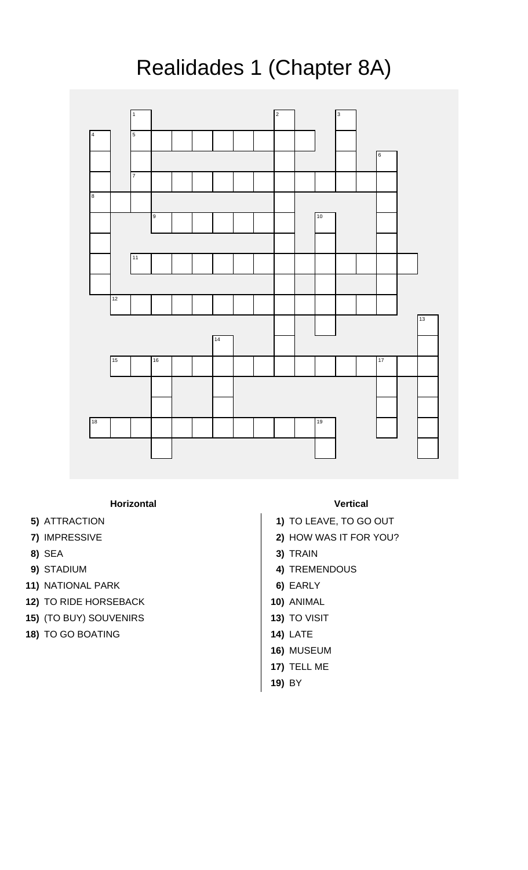## Realidades 1 (Chapter 8A)



**Horizontal Vertical**

- 
- 
- 
- 
- **11)** NATIONAL PARK **6)** EARLY
- **12)** TO RIDE HORSEBACK **10)** ANIMAL
- **15)** (TO BUY) SOUVENIRS **13)** TO VISIT
- **18)** TO GO BOATING **14)** LATE

- **5)** ATTRACTION **1)** TO LEAVE, TO GO OUT
- **7)** IMPRESSIVE **2)** HOW WAS IT FOR YOU?
- **8)** SEA **3)** TRAIN
- **9)** STADIUM **4)** TREMENDOUS
	-
	-
	-
	-
	- **16)** MUSEUM
	- **17)** TELL ME
	- **19)** BY